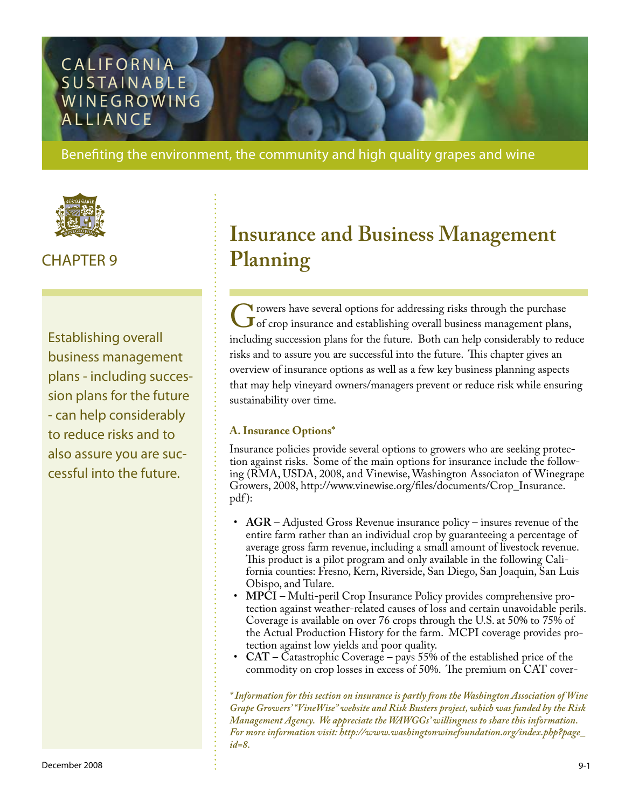# **CALIFORNIA** SUSTAINABLE **WINEGROWING ALLIANCE**

Benefiting the environment, the community and high quality grapes and wine



# CHAPTER 9

Establishing overall business management plans - including succession plans for the future - can help considerably to reduce risks and to also assure you are successful into the future.

# **Insurance and Business Management Planning**

Trowers have several options for addressing risks through the purchase<br>of crop insurance and establishing overall business management plans<br>including succession plans for the future. Both can belp considerably to red of crop insurance and establishing overall business management plans, including succession plans for the future. Both can help considerably to reduce risks and to assure you are successful into the future. This chapter gives an overview of insurance options as well as a few key business planning aspects that may help vineyard owners/managers prevent or reduce risk while ensuring sustainability over time.

### **A. Insurance Options\***

Insurance policies provide several options to growers who are seeking protection against risks. Some of the main options for insurance include the following (RMA, USDA, 2008, and Vinewise, Washington Associaton of Winegrape Growers, 2008, [http://www.vinewise.org/files/documents/Crop\\_Insurance.](http://www.vinewise.org/files/documents/Crop_Insurance.pdf) [pdf](http://www.vinewise.org/files/documents/Crop_Insurance.pdf)):

- AGR Adjusted Gross Revenue insurance policy insures revenue of the entire farm rather than an individual crop by guaranteeing a percentage of average gross farm revenue, including a small amount of livestock revenue. This product is a pilot program and only available in the following California counties: Fresno, Kern, Riverside, San Diego, San Joaquin, San Luis Obispo, and Tulare.
- **MPCI** Multi-peril Crop Insurance Policy provides comprehensive protection against weather-related causes of loss and certain unavoidable perils. Coverage is available on over 76 crops through the U.S. at 50% to 75% of the Actual Production History for the farm. MCPI coverage provides protection against low yields and poor quality. •
- **CAT** Catastrophic Coverage pays 55% of the established price of the commodity on crop losses in excess of 50%. The premium on CAT cover- •

*\* Information for this section on insurance is partly from the Washington Association of Wine Grape Growers' "VineWise" website and Risk Busters project, which was funded by the Risk Management Agency. We appreciate the WAWGGs' willingness to share this information. For more information visit: [http://www.washingtonwinefoundation.org/index.php?page\\_](http://www.washingtonwinefoundation.org/index.php?page_id=8) [id=8.](http://www.washingtonwinefoundation.org/index.php?page_id=8)*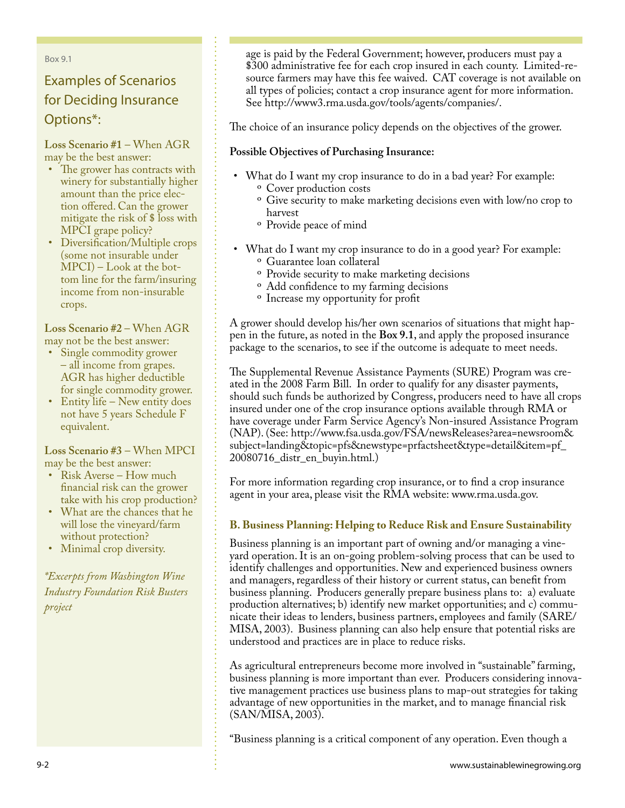Box 9.1

# Examples of Scenarios for Deciding Insurance Options\*:

**Loss Scenario #1** – When AGR may be the best answer:

- The grower has contracts with winery for substantially higher amount than the price election offered. Can the grower mitigate the risk of \$ loss with MPCI grape policy?
- Diversification/Multiple crops (some not insurable under MPCI) – Look at the bottom line for the farm/insuring income from non-insurable crops.

**Loss Scenario #2** – When AGR may not be the best answer:

- Single commodity grower – all income from grapes. AGR has higher deductible for single commodity grower.
- Entity life New entity does not have 5 years Schedule F equivalent.

**Loss Scenario #3** – When MPCI may be the best answer:

- Risk Averse How much financial risk can the grower take with his crop production?
- What are the chances that he will lose the vineyard/farm without protection?
- Minimal crop diversity. •

*\*Excerpts from Washington Wine Industry Foundation Risk Busters project*

age is paid by the Federal Government; however, producers must pay a \$300 administrative fee for each crop insured in each county. Limited-resource farmers may have this fee waived. CAT coverage is not available on all types of policies; contact a crop insurance agent for more information. See [http://www3.rma.usda.gov/tools/agents/companies/.](http://www3.rma.usda.gov/tools/agents/companies/)

The choice of an insurance policy depends on the objectives of the grower.

### **Possible Objectives of Purchasing Insurance:**

- What do I want my crop insurance to do in a bad year? For example: <sup>o</sup> Cover production costs
	- <sup>o</sup> Give security to make marketing decisions even with low/no crop to harvest
	- <sup>o</sup> Provide peace of mind
- What do I want my crop insurance to do in a good year? For example: <sup>o</sup> Guarantee loan collateral
	- <sup>o</sup> Provide security to make marketing decisions
	- Add confidence to my farming decisions º
	- <sup>o</sup> Increase my opportunity for profit

A grower should develop his/her own scenarios of situations that might happen in the future, as noted in the **Box 9.1**, and apply the proposed insurance package to the scenarios, to see if the outcome is adequate to meet needs.

The Supplemental Revenue Assistance Payments (SURE) Program was created in the 2008 Farm Bill. In order to qualify for any disaster payments, should such funds be authorized by Congress, producers need to have all crops insured under one of the crop insurance options available through RMA or have coverage under Farm Service Agency's Non-insured Assistance Program (NAP). (See: [http://www.fsa.usda.gov/FSA/newsReleases?area=newsroom&](http://www.fsa.usda.gov/FSA/newsReleases?area=newsroom&subject=landing&topic=pfs&newstype=prfactsheet&type=detail&item=pf_20080716_distr_en_buyin.html) [subject=landing&topic=pfs&newstype=prfactsheet&type=detail&item=pf\\_](http://www.fsa.usda.gov/FSA/newsReleases?area=newsroom&subject=landing&topic=pfs&newstype=prfactsheet&type=detail&item=pf_20080716_distr_en_buyin.html) [20080716\\_distr\\_en\\_buyin.html.](http://www.fsa.usda.gov/FSA/newsReleases?area=newsroom&subject=landing&topic=pfs&newstype=prfactsheet&type=detail&item=pf_20080716_distr_en_buyin.html))

For more information regarding crop insurance, or to find a crop insurance agent in your area, please visit the RMA website: www.rma.usda.gov.

### **B. Business Planning: Helping to Reduce Risk and Ensure Sustainability**

Business planning is an important part of owning and/or managing a vineyard operation. It is an on-going problem-solving process that can be used to identify challenges and opportunities. New and experienced business owners and managers, regardless of their history or current status, can benefit from business planning. Producers generally prepare business plans to: a) evaluate production alternatives; b) identify new market opportunities; and c) communicate their ideas to lenders, business partners, employees and family (SARE/ MISA, 2003). Business planning can also help ensure that potential risks are understood and practices are in place to reduce risks.

As agricultural entrepreneurs become more involved in "sustainable" farming, business planning is more important than ever. Producers considering innovative management practices use business plans to map-out strategies for taking advantage of new opportunities in the market, and to manage financial risk (SAN/MISA, 2003).

"Business planning is a critical component of any operation. Even though a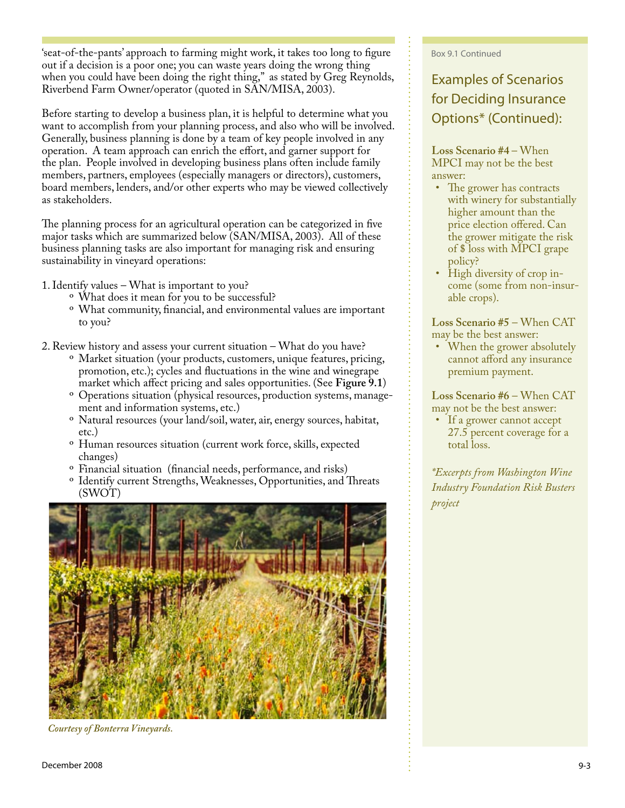'seat-of-the-pants' approach to farming might work, it takes too long to figure out if a decision is a poor one; you can waste years doing the wrong thing when you could have been doing the right thing," as stated by Greg Reynolds, Riverbend Farm Owner/operator (quoted in SAN/MISA, 2003).

Before starting to develop a business plan, it is helpful to determine what you want to accomplish from your planning process, and also who will be involved. Generally, business planning is done by a team of key people involved in any operation. A team approach can enrich the effort, and garner support for the plan. People involved in developing business plans often include family members, partners, employees (especially managers or directors), customers, board members, lenders, and/or other experts who may be viewed collectively as stakeholders.

The planning process for an agricultural operation can be categorized in five major tasks which are summarized below (SAN/MISA, 2003). All of these business planning tasks are also important for managing risk and ensuring sustainability in vineyard operations:

1. Identify values – What is important to you?

- What does it mean for you to be successful? º
- What community, financial, and environmental values are important º to you?
- 2. Review history and assess your current situation What do you have?
	- Market situation (your products, customers, unique features, pricing, º promotion, etc.); cycles and fluctuations in the wine and winegrape market which affect pricing and sales opportunities. (See **Figure 9.1**)
	- ° Operations situation (physical resources, production systems, management and information systems, etc.)
	- <sup>o</sup> Natural resources (your land/soil, water, air, energy sources, habitat, etc.)
	- <sup>o</sup> Human resources situation (current work force, skills, expected changes)
	- <sup>o</sup> Financial situation (financial needs, performance, and risks)
	- <sup>o</sup> Identify current Strengths, Weaknesses, Opportunities, and Threats (SWOT)



*Courtesy of Bonterra Vineyards.*

#### Box 9.1 Continued

# Examples of Scenarios for Deciding Insurance Options\* (Continued):

**Loss Scenario #4** – When MPCI may not be the best answer:

- The grower has contracts with winery for substantially higher amount than the price election offered. Can the grower mitigate the risk of \$ loss with MPCI grape policy?
- High diversity of crop income (some from non-insurable crops).

**Loss Scenario #5** – When CAT may be the best answer:

• When the grower absolutely cannot afford any insurance premium payment.

**Loss Scenario #6** – When CAT may not be the best answer:

• If a grower cannot accept 27.5 percent coverage for a total loss.

*\*Excerpts from Washington Wine Industry Foundation Risk Busters project*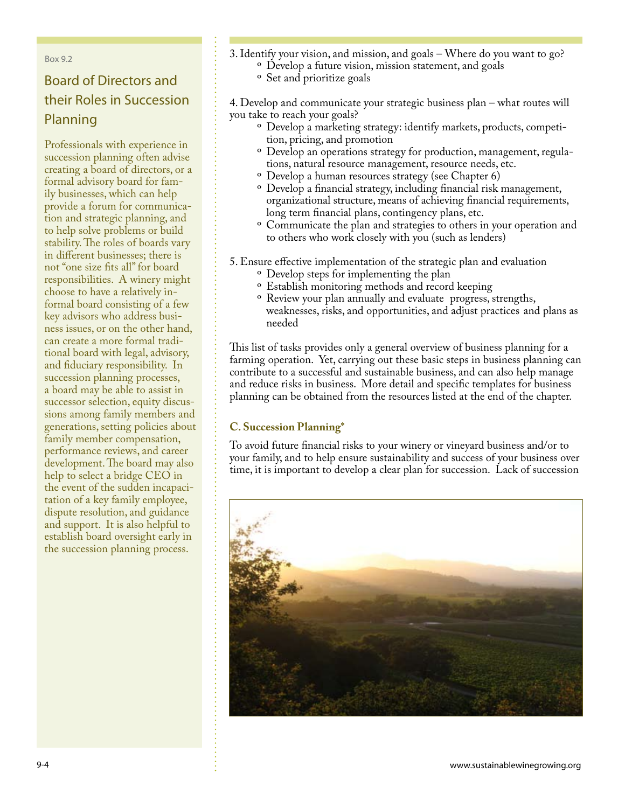#### Box 9.2

# Board of Directors and their Roles in Succession Planning

Professionals with experience in succession planning often advise creating a board of directors, or a formal advisory board for family businesses, which can help provide a forum for communication and strategic planning, and to help solve problems or build stability. The roles of boards vary in different businesses; there is not "one size fits all" for board responsibilities. A winery might choose to have a relatively informal board consisting of a few key advisors who address business issues, or on the other hand, can create a more formal traditional board with legal, advisory, and fiduciary responsibility. In succession planning processes, a board may be able to assist in successor selection, equity discussions among family members and generations, setting policies about family member compensation, performance reviews, and career development. The board may also help to select a bridge CEO in the event of the sudden incapacitation of a key family employee, dispute resolution, and guidance and support. It is also helpful to establish board oversight early in the succession planning process.

- 3. Identify your vision, and mission, and goals Where do you want to go? Develop a future vision, mission statement, and goals º
	- <sup>o</sup> Set and prioritize goals

4. Develop and communicate your strategic business plan – what routes will you take to reach your goals?

- Develop a marketing strategy: identify markets, products, competi-º tion, pricing, and promotion
- $\rm ^o$  Develop an operations strategy for production, management, regulations, natural resource management, resource needs, etc.
- Develop a human resources strategy (see Chapter 6) º
- $\rm ^o$  Develop a financial strategy, including financial risk management, organizational structure, means of achieving financial requirements, long term financial plans, contingency plans, etc.
- <sup>o</sup> Communicate the plan and strategies to others in your operation and to others who work closely with you (such as lenders)
- 5. Ensure effective implementation of the strategic plan and evaluation
	- <sup>o</sup> Develop steps for implementing the plan
	- <sup>o</sup> Establish monitoring methods and record keeping
	- <sup>o</sup> Review your plan annually and evaluate progress, strengths, weaknesses, risks, and opportunities, and adjust practices and plans as needed

This list of tasks provides only a general overview of business planning for a farming operation. Yet, carrying out these basic steps in business planning can contribute to a successful and sustainable business, and can also help manage and reduce risks in business. More detail and specific templates for business planning can be obtained from the resources listed at the end of the chapter.

### **C. Succession Planning\***

To avoid future financial risks to your winery or vineyard business and/or to your family, and to help ensure sustainability and success of your business over time, it is important to develop a clear plan for succession. Lack of succession

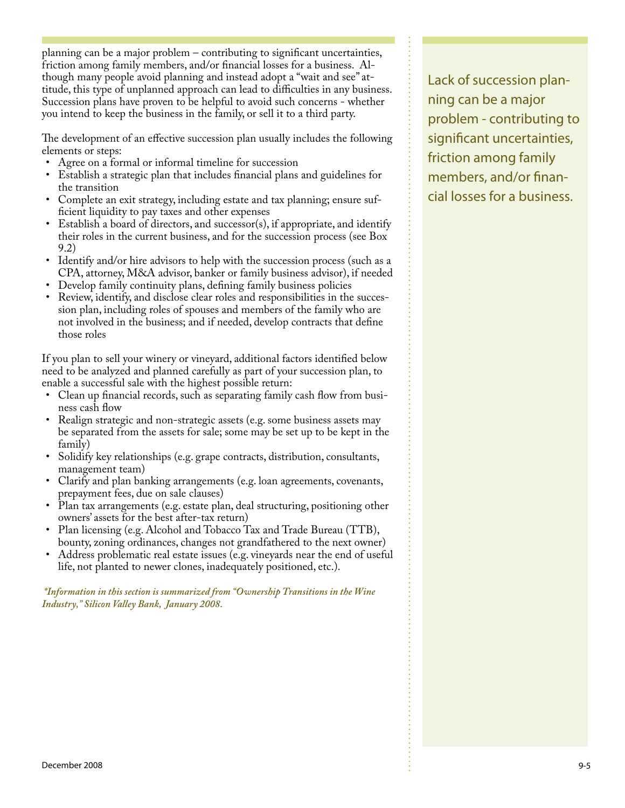planning can be a major problem – contributing to significant uncertainties, friction among family members, and/or financial losses for a business. Although many people avoid planning and instead adopt a "wait and see" attitude, this type of unplanned approach can lead to difficulties in any business. Succession plans have proven to be helpful to avoid such concerns - whether you intend to keep the business in the family, or sell it to a third party.

The development of an effective succession plan usually includes the following elements or steps:

- Agree on a formal or informal timeline for succession
- Establish a strategic plan that includes financial plans and guidelines for the transition
- Complete an exit strategy, including estate and tax planning; ensure suf-• ficient liquidity to pay taxes and other expenses
- Establish a board of directors, and successor(s), if appropriate, and identify their roles in the current business, and for the succession process (see Box 9.2) •
- Identify and/or hire advisors to help with the succession process (such as a CPA, attorney, M&A advisor, banker or family business advisor), if needed
- Develop family continuity plans, defining family business policies •
- Review, identify, and disclose clear roles and responsibilities in the succession plan, including roles of spouses and members of the family who are not involved in the business; and if needed, develop contracts that define those roles •

If you plan to sell your winery or vineyard, additional factors identified below need to be analyzed and planned carefully as part of your succession plan, to enable a successful sale with the highest possible return:

- Clean up financial records, such as separating family cash flow from busi-• ness cash flow
- Realign strategic and non-strategic assets (e.g. some business assets may be separated from the assets for sale; some may be set up to be kept in the family) •
- Solidify key relationships (e.g. grape contracts, distribution, consultants, management team)
- Clarify and plan banking arrangements (e.g. loan agreements, covenants, prepayment fees, due on sale clauses) •
- Plan tax arrangements (e.g. estate plan, deal structuring, positioning other owners' assets for the best after-tax return) •
- Plan licensing (e.g. Alcohol and Tobacco Tax and Trade Bureau (TTB), bounty, zoning ordinances, changes not grandfathered to the next owner) •
- Address problematic real estate issues (e.g. vineyards near the end of useful life, not planted to newer clones, inadequately positioned, etc.). •

 *\*Information in this section is summarized from "Ownership Transitions in the Wine Industry," Silicon Valley Bank, January 2008.*

Lack of succession planning can be a major problem - contributing to significant uncertainties, friction among family members, and/or financial losses for a business.